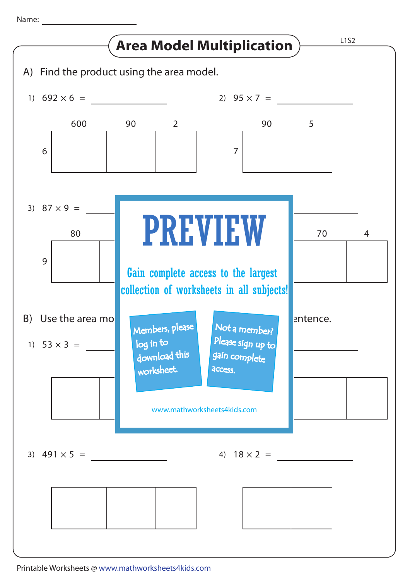